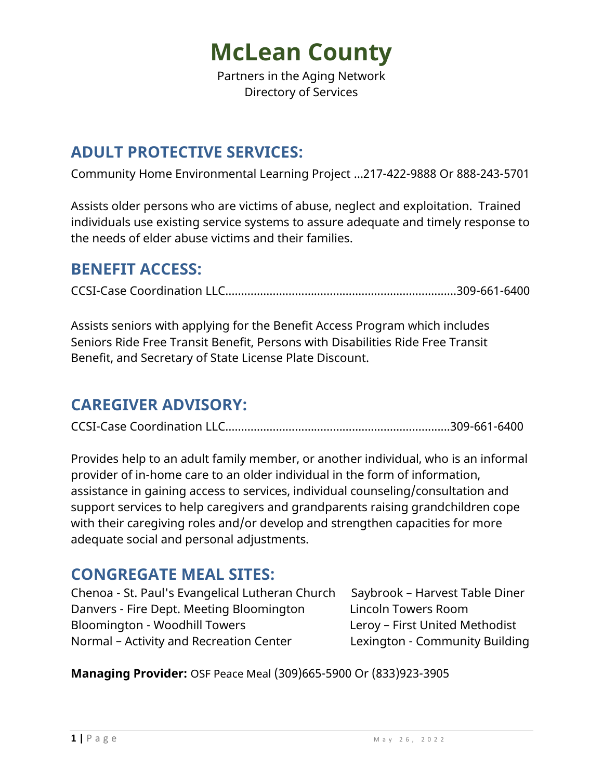Partners in the Aging Network Directory of Services

## **ADULT PROTECTIVE SERVICES:**

Community Home Environmental Learning Project …217-422-9888 Or 888-243-5701

Assists older persons who are victims of abuse, neglect and exploitation. Trained individuals use existing service systems to assure adequate and timely response to the needs of elder abuse victims and their families.

### **BENEFIT ACCESS:**

CCSI-Case Coordination LLC…….…………………………………………….….….......309-661-6400

Assists seniors with applying for the Benefit Access Program which includes Seniors Ride Free Transit Benefit, Persons with Disabilities Ride Free Transit Benefit, and Secretary of State License Plate Discount.

### **CAREGIVER ADVISORY:**

CCSI-Case Coordination LLC…….…………………………………….…….….….......309-661-6400

Provides help to an adult family member, or another individual, who is an informal provider of in-home care to an older individual in the form of information, assistance in gaining access to services, individual counseling/consultation and support services to help caregivers and grandparents raising grandchildren cope with their caregiving roles and/or develop and strengthen capacities for more adequate social and personal adjustments.

### **CONGREGATE MEAL SITES:**

Chenoa - St. Paul's Evangelical Lutheran Church Saybrook – Harvest Table Diner Danvers - Fire Dept. Meeting Bloomington Lincoln Towers Room Bloomington - Woodhill Towers Leroy – First United Methodist Normal – Activity and Recreation Center Lexington - Community Building

**Managing Provider:** OSF Peace Meal (309)665-5900 Or (833)923-3905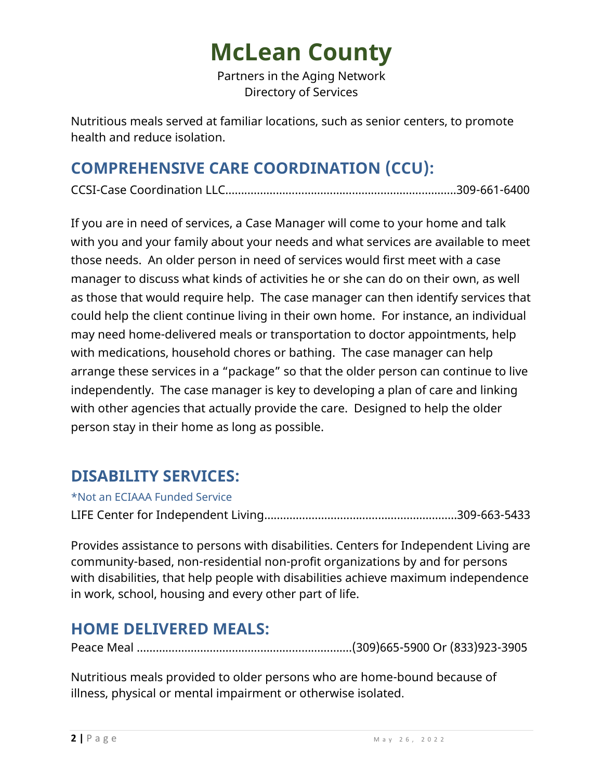Partners in the Aging Network Directory of Services

Nutritious meals served at familiar locations, such as senior centers, to promote health and reduce isolation.

# **COMPREHENSIVE CARE COORDINATION (CCU):**

CCSI-Case Coordination LLC…….…………………………………………….…….…....309-661-6400

If you are in need of services, a Case Manager will come to your home and talk with you and your family about your needs and what services are available to meet those needs. An older person in need of services would first meet with a case manager to discuss what kinds of activities he or she can do on their own, as well as those that would require help. The case manager can then identify services that could help the client continue living in their own home. For instance, an individual may need home-delivered meals or transportation to doctor appointments, help with medications, household chores or bathing. The case manager can help arrange these services in a "package" so that the older person can continue to live independently. The case manager is key to developing a plan of care and linking with other agencies that actually provide the care. Designed to help the older person stay in their home as long as possible.

## **DISABILITY SERVICES:**

\*Not an ECIAAA Funded Service

LIFE Center for Independent Living…………………………………………………….309-663-5433

Provides assistance to persons with disabilities. Centers for Independent Living are community-based, non-residential non-profit organizations by and for persons with disabilities, that help people with disabilities achieve maximum independence in work, school, housing and every other part of life.

# **HOME DELIVERED MEALS:**

Peace Meal ……………………………………….………………….(309)665-5900 Or (833)923-3905

Nutritious meals provided to older persons who are home-bound because of illness, physical or mental impairment or otherwise isolated.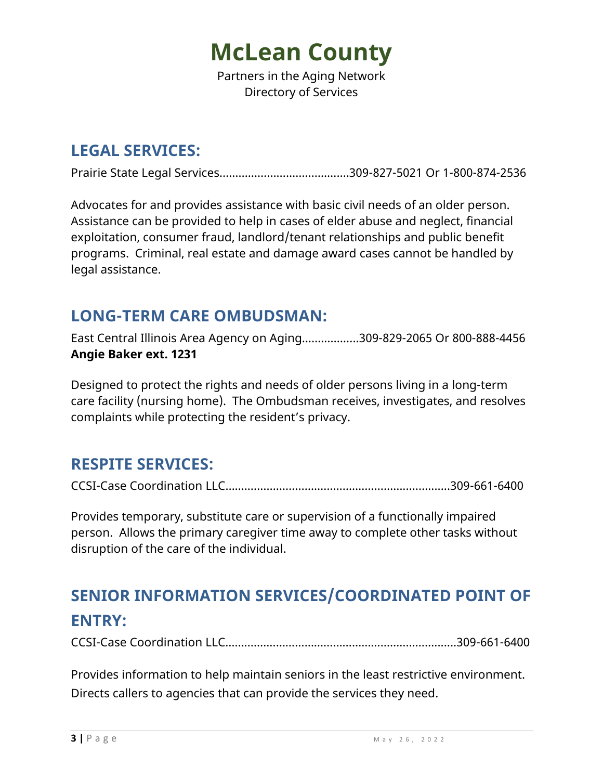Partners in the Aging Network Directory of Services

## **LEGAL SERVICES:**

Prairie State Legal Services…………………………….…….309-827-5021 Or 1-800-874-2536

Advocates for and provides assistance with basic civil needs of an older person. Assistance can be provided to help in cases of elder abuse and neglect, financial exploitation, consumer fraud, landlord/tenant relationships and public benefit programs. Criminal, real estate and damage award cases cannot be handled by legal assistance.

### **LONG-TERM CARE OMBUDSMAN:**

East Central Illinois Area Agency on Aging……………...309-829-2065 Or 800-888-4456 **Angie Baker ext. 1231**

Designed to protect the rights and needs of older persons living in a long-term care facility (nursing home). The Ombudsman receives, investigates, and resolves complaints while protecting the resident's privacy.

### **RESPITE SERVICES:**

CCSI-Case Coordination LLC…….…………………………………….…….….….......309-661-6400

Provides temporary, substitute care or supervision of a functionally impaired person. Allows the primary caregiver time away to complete other tasks without disruption of the care of the individual.

# **SENIOR INFORMATION SERVICES/COORDINATED POINT OF ENTRY:**

CCSI-Case Coordination LLC…….…………………………………………….….….......309-661-6400

Provides information to help maintain seniors in the least restrictive environment. Directs callers to agencies that can provide the services they need.